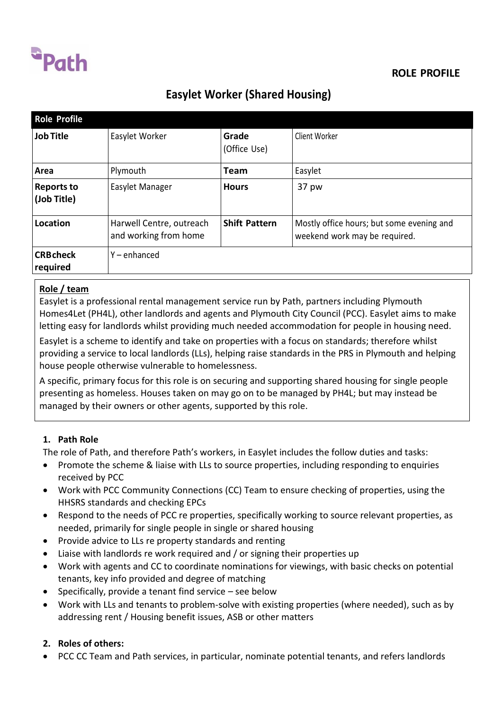

## **ROLE PROFILE**

# **Easylet Worker (Shared Housing)**

| <b>Role Profile</b>              |                                                   |                       |                                                                            |
|----------------------------------|---------------------------------------------------|-----------------------|----------------------------------------------------------------------------|
| <b>Job Title</b>                 | Easylet Worker                                    | Grade<br>(Office Use) | Client Worker                                                              |
| Area                             | Plymouth                                          | Team                  | Easylet                                                                    |
| <b>Reports to</b><br>(Job Title) | Easylet Manager                                   | <b>Hours</b>          | 37 pw                                                                      |
| Location                         | Harwell Centre, outreach<br>and working from home | <b>Shift Pattern</b>  | Mostly office hours; but some evening and<br>weekend work may be required. |
| <b>CRB</b> check<br>required     | Y-enhanced                                        |                       |                                                                            |

### **Role / team**

Easylet is a professional rental management service run by Path, partners including Plymouth Homes4Let (PH4L), other landlords and agents and Plymouth City Council (PCC). Easylet aims to make letting easy for landlords whilst providing much needed accommodation for people in housing need.

Easylet is a scheme to identify and take on properties with a focus on standards; therefore whilst providing a service to local landlords (LLs), helping raise standards in the PRS in Plymouth and helping house people otherwise vulnerable to homelessness.

A specific, primary focus for this role is on securing and supporting shared housing for single people presenting as homeless. Houses taken on may go on to be managed by PH4L; but may instead be managed by their owners or other agents, supported by this role.

### **1. Path Role**

The role of Path, and therefore Path's workers, in Easylet includes the follow duties and tasks:

- Promote the scheme & liaise with LLs to source properties, including responding to enquiries received by PCC
- Work with PCC Community Connections (CC) Team to ensure checking of properties, using the HHSRS standards and checking EPCs
- Respond to the needs of PCC re properties, specifically working to source relevant properties, as needed, primarily for single people in single or shared housing
- Provide advice to LLs re property standards and renting
- Liaise with landlords re work required and / or signing their properties up
- Work with agents and CC to coordinate nominations for viewings, with basic checks on potential tenants, key info provided and degree of matching
- $\bullet$  Specifically, provide a tenant find service see below
- Work with LLs and tenants to problem-solve with existing properties (where needed), such as by addressing rent / Housing benefit issues, ASB or other matters

## **2. Roles of others:**

PCC CC Team and Path services, in particular, nominate potential tenants, and refers landlords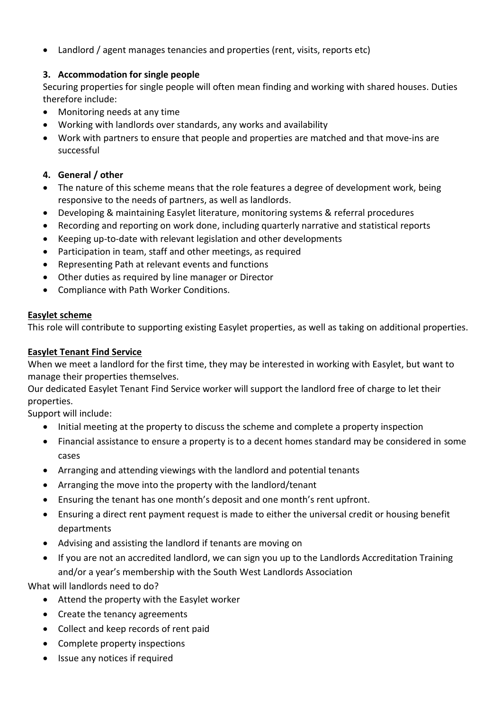Landlord / agent manages tenancies and properties (rent, visits, reports etc)

## **3. Accommodation for single people**

Securing properties for single people will often mean finding and working with shared houses. Duties therefore include:

- Monitoring needs at any time
- Working with landlords over standards, any works and availability
- Work with partners to ensure that people and properties are matched and that move-ins are successful

## **4. General / other**

- The nature of this scheme means that the role features a degree of development work, being responsive to the needs of partners, as well as landlords.
- Developing & maintaining Easylet literature, monitoring systems & referral procedures
- Recording and reporting on work done, including quarterly narrative and statistical reports
- Keeping up-to-date with relevant legislation and other developments
- Participation in team, staff and other meetings, as required
- Representing Path at relevant events and functions
- Other duties as required by line manager or Director
- Compliance with Path Worker Conditions.

#### **Easylet scheme**

This role will contribute to supporting existing Easylet properties, as well as taking on additional properties.

### **Easylet Tenant Find Service**

When we meet a landlord for the first time, they may be interested in working with Easylet, but want to manage their properties themselves.

Our dedicated Easylet Tenant Find Service worker will support the landlord free of charge to let their properties.

Support will include:

- Initial meeting at the property to discuss the scheme and complete a property inspection
- Financial assistance to ensure a property is to a decent homes standard may be considered in some cases
- Arranging and attending viewings with the landlord and potential tenants
- Arranging the move into the property with the landlord/tenant
- Ensuring the tenant has one month's deposit and one month's rent upfront.
- Ensuring a direct rent payment request is made to either the universal credit or housing benefit departments
- Advising and assisting the landlord if tenants are moving on
- If you are not an accredited landlord, we can sign you up to the Landlords Accreditation Training and/or a year's membership with the South West Landlords Association

What will landlords need to do?

- Attend the property with the Easylet worker
- Create the tenancy agreements
- Collect and keep records of rent paid
- Complete property inspections
- Issue any notices if required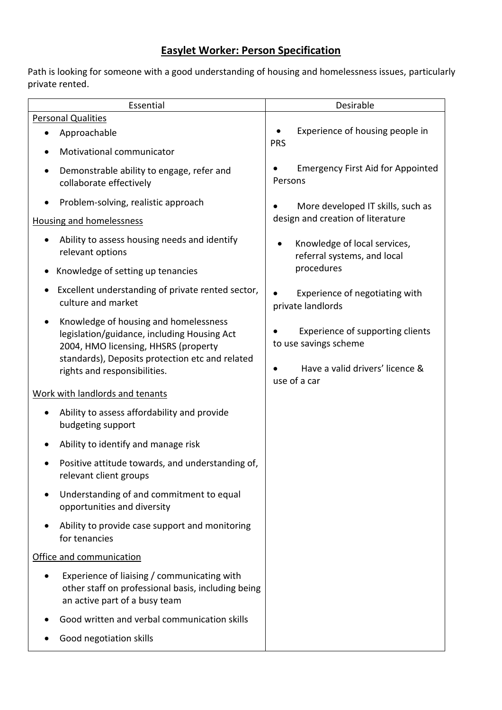## **Easylet Worker: Person Specification**

Path is looking for someone with a good understanding of housing and homelessness issues, particularly private rented.

| Essential                                                                                                                                                                                                       | Desirable                                                                                                    |  |  |  |  |
|-----------------------------------------------------------------------------------------------------------------------------------------------------------------------------------------------------------------|--------------------------------------------------------------------------------------------------------------|--|--|--|--|
| <b>Personal Qualities</b>                                                                                                                                                                                       |                                                                                                              |  |  |  |  |
| Approachable                                                                                                                                                                                                    | Experience of housing people in                                                                              |  |  |  |  |
| Motivational communicator                                                                                                                                                                                       | <b>PRS</b>                                                                                                   |  |  |  |  |
| Demonstrable ability to engage, refer and<br>collaborate effectively                                                                                                                                            | <b>Emergency First Aid for Appointed</b><br>Persons                                                          |  |  |  |  |
| Problem-solving, realistic approach                                                                                                                                                                             | More developed IT skills, such as                                                                            |  |  |  |  |
| <b>Housing and homelessness</b>                                                                                                                                                                                 | design and creation of literature                                                                            |  |  |  |  |
| Ability to assess housing needs and identify<br>relevant options                                                                                                                                                | Knowledge of local services,<br>referral systems, and local                                                  |  |  |  |  |
| Knowledge of setting up tenancies                                                                                                                                                                               | procedures                                                                                                   |  |  |  |  |
| Excellent understanding of private rented sector,<br>culture and market                                                                                                                                         | Experience of negotiating with<br>private landlords                                                          |  |  |  |  |
| Knowledge of housing and homelessness<br>legislation/guidance, including Housing Act<br>2004, HMO licensing, HHSRS (property<br>standards), Deposits protection etc and related<br>rights and responsibilities. | Experience of supporting clients<br>to use savings scheme<br>Have a valid drivers' licence &<br>use of a car |  |  |  |  |
| Work with landlords and tenants                                                                                                                                                                                 |                                                                                                              |  |  |  |  |
| Ability to assess affordability and provide<br>budgeting support                                                                                                                                                |                                                                                                              |  |  |  |  |
| Ability to identify and manage risk                                                                                                                                                                             |                                                                                                              |  |  |  |  |
| Positive attitude towards, and understanding of,<br>relevant client groups                                                                                                                                      |                                                                                                              |  |  |  |  |
| Understanding of and commitment to equal<br>opportunities and diversity                                                                                                                                         |                                                                                                              |  |  |  |  |
| Ability to provide case support and monitoring<br>for tenancies                                                                                                                                                 |                                                                                                              |  |  |  |  |
| Office and communication                                                                                                                                                                                        |                                                                                                              |  |  |  |  |
| Experience of liaising / communicating with<br>other staff on professional basis, including being<br>an active part of a busy team                                                                              |                                                                                                              |  |  |  |  |
| Good written and verbal communication skills                                                                                                                                                                    |                                                                                                              |  |  |  |  |
| Good negotiation skills                                                                                                                                                                                         |                                                                                                              |  |  |  |  |